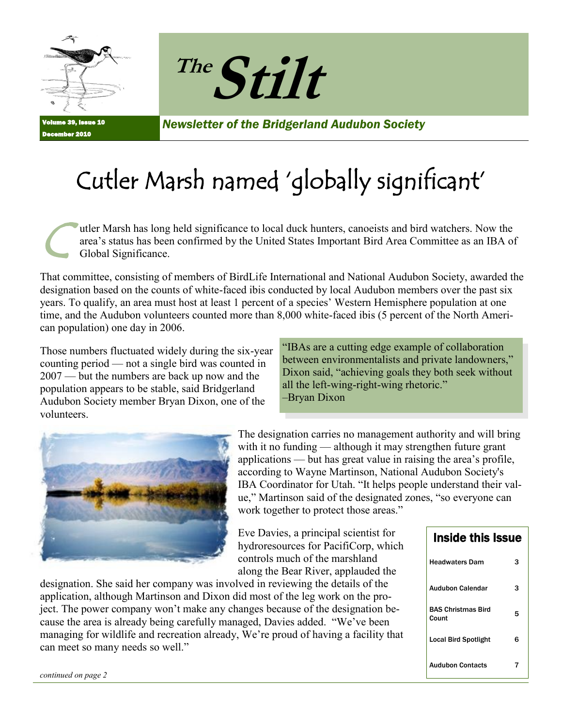



Volume 39, Issue 10 December 2010

*Newsletter of the Bridgerland Audubon Society*

# Cutler Marsh named 'globally significant'

C utler Marsh has long held significance to local duck hunters, canoeists and bird watchers. Now the area's status has been confirmed by the United States Important Bird Area Committee as an IBA of Global Significance.

That committee, consisting of members of BirdLife International and National Audubon Society, awarded the designation based on the counts of white-faced ibis conducted by local Audubon members over the past six years. To qualify, an area must host at least 1 percent of a species' Western Hemisphere population at one time, and the Audubon volunteers counted more than 8,000 white-faced ibis (5 percent of the North American population) one day in 2006.

Those numbers fluctuated widely during the six-year counting period — not a single bird was counted in 2007 — but the numbers are back up now and the population appears to be stable, said Bridgerland Audubon Society member Bryan Dixon, one of the volunteers.

"IBAs are a cutting edge example of collaboration" between environmentalists and private landowners," Dixon said, "achieving goals they both seek without all the left-wing-right-wing rhetoric." –Bryan Dixon



The designation carries no management authority and will bring with it no funding — although it may strengthen future grant applications — but has great value in raising the area's profile, according to Wayne Martinson, National Audubon Society's IBA Coordinator for Utah. "It helps people understand their value," Martinson said of the designated zones, "so everyone can work together to protect those areas."

Eve Davies, a principal scientist for hydroresources for PacifiCorp, which controls much of the marshland along the Bear River, applauded the

designation. She said her company was involved in reviewing the details of the application, although Martinson and Dixon did most of the leg work on the project. The power company won't make any changes because of the designation because the area is already being carefully managed, Davies added. "We've been managing for wildlife and recreation already, We're proud of having a facility that can meet so many needs so well."

| <b>Inside this Issue</b>           |   |
|------------------------------------|---|
| Headwaters Dam                     | з |
| Audubon Calendar                   | 3 |
| <b>BAS Christmas Bird</b><br>Count | 5 |
| <b>Local Bird Spotlight</b>        | 6 |
| Audubon Contacts                   | 7 |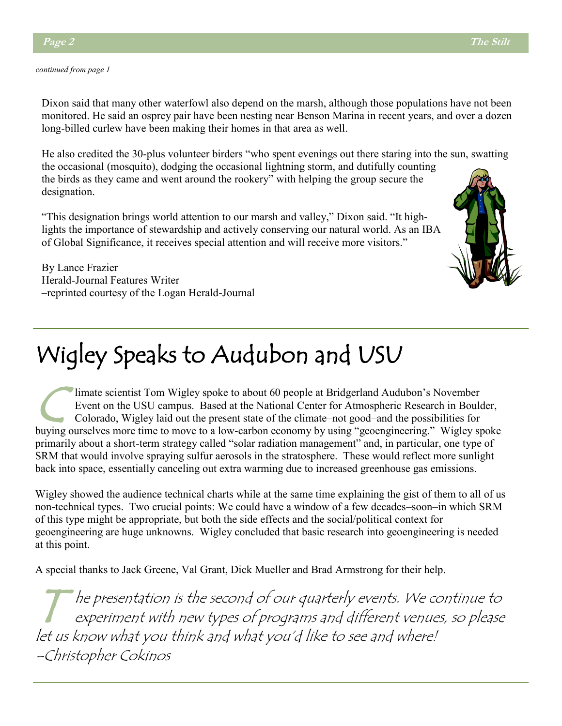#### *continued from page 1*

Dixon said that many other waterfowl also depend on the marsh, although those populations have not been monitored. He said an osprey pair have been nesting near Benson Marina in recent years, and over a dozen long-billed curlew have been making their homes in that area as well.

He also credited the 30-plus volunteer birders "who spent evenings out there staring into the sun, swatting the occasional (mosquito), dodging the occasional lightning storm, and dutifully counting

the birds as they came and went around the rookery" with helping the group secure the designation.

"This designation brings world attention to our marsh and valley," Dixon said. "It highlights the importance of stewardship and actively conserving our natural world. As an IBA of Global Significance, it receives special attention and will receive more visitors."

By Lance Frazier Herald-Journal Features Writer –reprinted courtesy of the Logan Herald-Journal

# Wigley Speaks to Audubon and USU

 $\bigcup$ limate scientist Tom Wigley spoke to about 60 people at Bridgerland Audubon's November Event on the USU campus. Based at the National Center for Atmospheric Research in Boulder, Colorado, Wigley laid out the present state of the climate–not good–and the possibilities for buying ourselves more time to move to a low-carbon economy by using "geoengineering." Wigley spoke primarily about a short-term strategy called "solar radiation management" and, in particular, one type of SRM that would involve spraying sulfur aerosols in the stratosphere. These would reflect more sunlight back into space, essentially canceling out extra warming due to increased greenhouse gas emissions.

Wigley showed the audience technical charts while at the same time explaining the gist of them to all of us non-technical types. Two crucial points: We could have a window of a few decades–soon–in which SRM of this type might be appropriate, but both the side effects and the social/political context for geoengineering are huge unknowns. Wigley concluded that basic research into geoengineering is needed at this point.

A special thanks to Jack Greene, Val Grant, Dick Mueller and Brad Armstrong for their help.

T he presentation is the second of our quarterly events. We continue to experiment with new types of programs and different venues, so please let us know what you think and what you'd like to see and where! –Christopher Cokinos

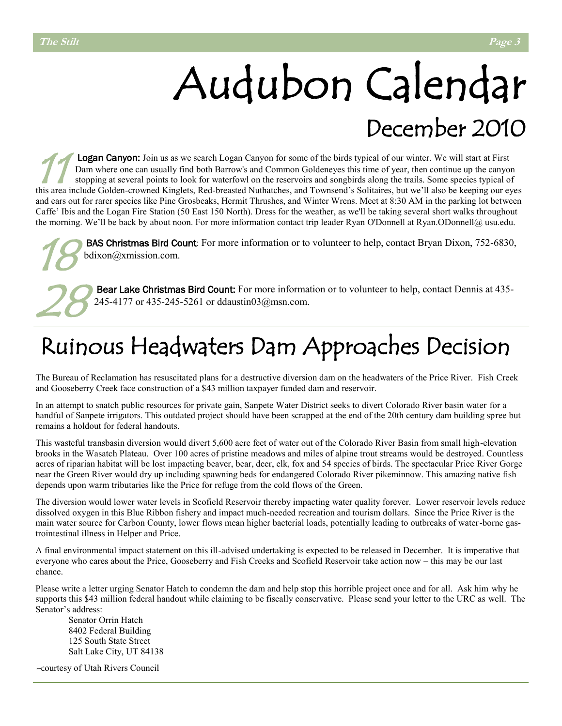# Audubon Calendar December 2010

11 Logan Canyon: Join us as we search Logan Canyon for some of the birds typical of our winter. We will start at First Dam where one can usually find both Barrow's and Common Goldeneyes this time of year, then continue up the canyon stopping at several points to look for waterfowl on the reservoirs and songbirds along the trails. Some species typical of this area include Golden-crowned Kinglets, Red-breasted Nuthatches, and Townsend's Solitaires, but we'll also be keeping our eyes and ears out for rarer species like Pine Grosbeaks, Hermit Thrushes, and Winter Wrens. Meet at 8:30 AM in the parking lot between Caffe' Ibis and the Logan Fire Station (50 East 150 North). Dress for the weather, as we'll be taking several short walks throughout the morning. We'll be back by about noon. For more information contact trip leader Ryan O'Donnell at Ryan.ODonnell@ usu.edu.

18 BAS Christmas Bird Count: For more information or to volunteer to help, contact Bryan Dixon, 752-6830, bdixon@xmission.com.

28 Bear Lake Christmas Bird Count: For more information or to volunteer to help, contact Dennis at 435- 245-4177 or 435-245-5261 or ddaustin03@msn.com.

## Ruinous Headwaters Dam Approaches Decision

The Bureau of Reclamation has resuscitated plans for a destructive diversion dam on the headwaters of the Price River. Fish Creek and Gooseberry Creek face construction of a \$43 million taxpayer funded dam and reservoir.

In an attempt to snatch public resources for private gain, Sanpete Water District seeks to divert Colorado River basin water for a handful of Sanpete irrigators. This outdated project should have been scrapped at the end of the 20th century dam building spree but remains a holdout for federal handouts.

This wasteful transbasin diversion would divert 5,600 acre feet of water out of the Colorado River Basin from small high-elevation brooks in the Wasatch Plateau. Over 100 acres of pristine meadows and miles of alpine trout streams would be destroyed. Countless acres of riparian habitat will be lost impacting beaver, bear, deer, elk, fox and 54 species of birds. The spectacular Price River Gorge near the Green River would dry up including spawning beds for endangered Colorado River pikeminnow. This amazing native fish depends upon warm tributaries like the Price for refuge from the cold flows of the Green.

The diversion would lower water levels in Scofield Reservoir thereby impacting water quality forever. Lower reservoir levels reduce dissolved oxygen in this Blue Ribbon fishery and impact much-needed recreation and tourism dollars. Since the Price River is the main water source for Carbon County, lower flows mean higher bacterial loads, potentially leading to outbreaks of water-borne gastrointestinal illness in Helper and Price.

A final environmental impact statement on this ill-advised undertaking is expected to be released in December. It is imperative that everyone who cares about the Price, Gooseberry and Fish Creeks and Scofield Reservoir take action now – this may be our last chance.

Please write a letter urging Senator Hatch to condemn the dam and help stop this horrible project once and for all. Ask him why he supports this \$43 million federal handout while claiming to be fiscally conservative. Please send your letter to the URC as well. The Senator's address:

Senator Orrin Hatch 8402 Federal Building 125 South State Street Salt Lake City, UT 84138

–courtesy of Utah Rivers Council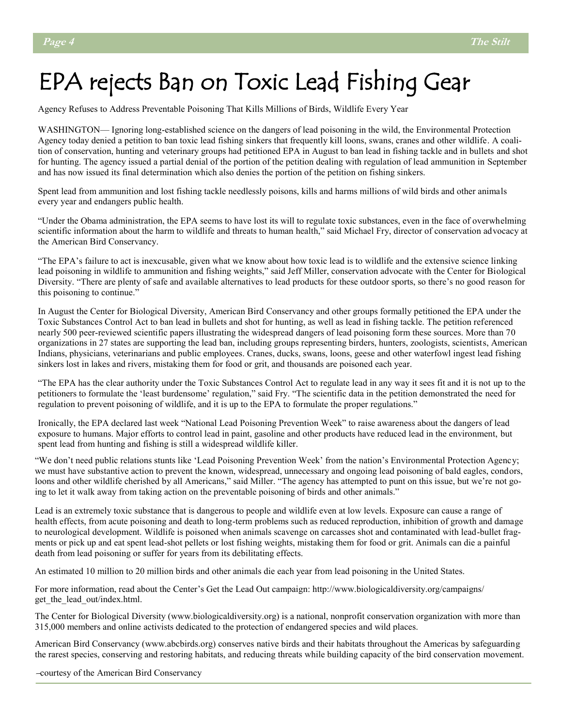## EPA rejects Ban on Toxic Lead Fishing Gear

Agency Refuses to Address Preventable Poisoning That Kills Millions of Birds, Wildlife Every Year

WASHINGTON— Ignoring long-established science on the dangers of lead poisoning in the wild, the Environmental Protection Agency today denied a petition to ban toxic lead fishing sinkers that frequently kill loons, swans, cranes and other wildlife. A coalition of conservation, hunting and veterinary groups had petitioned EPA in August to ban lead in fishing tackle and in bullets and shot for hunting. The agency issued a partial denial of the portion of the petition dealing with regulation of lead ammunition in September and has now issued its final determination which also denies the portion of the petition on fishing sinkers.

Spent lead from ammunition and lost fishing tackle needlessly poisons, kills and harms millions of wild birds and other animals every year and endangers public health.

―Under the Obama administration, the EPA seems to have lost its will to regulate toxic substances, even in the face of overwhelming scientific information about the harm to wildlife and threats to human health," said Michael Fry, director of conservation advocacy at the American Bird Conservancy.

―The EPA's failure to act is inexcusable, given what we know about how toxic lead is to wildlife and the extensive science linking lead poisoning in wildlife to ammunition and fishing weights," said Jeff Miller, conservation advocate with the Center for Biological Diversity. "There are plenty of safe and available alternatives to lead products for these outdoor sports, so there's no good reason for this poisoning to continue."

In August the Center for Biological Diversity, American Bird Conservancy and other groups formally petitioned the EPA under the Toxic Substances Control Act to ban lead in bullets and shot for hunting, as well as lead in fishing tackle. The petition referenced nearly 500 peer-reviewed scientific papers illustrating the widespread dangers of lead poisoning form these sources. More than 70 organizations in 27 states are supporting the lead ban, including groups representing birders, hunters, zoologists, scientists, American Indians, physicians, veterinarians and public employees. Cranes, ducks, swans, loons, geese and other waterfowl ingest lead fishing sinkers lost in lakes and rivers, mistaking them for food or grit, and thousands are poisoned each year.

―The EPA has the clear authority under the Toxic Substances Control Act to regulate lead in any way it sees fit and it is not up to the petitioners to formulate the 'least burdensome' regulation," said Fry. "The scientific data in the petition demonstrated the need for regulation to prevent poisoning of wildlife, and it is up to the EPA to formulate the proper regulations."

Ironically, the EPA declared last week "National Lead Poisoning Prevention Week" to raise awareness about the dangers of lead exposure to humans. Major efforts to control lead in paint, gasoline and other products have reduced lead in the environment, but spent lead from hunting and fishing is still a widespread wildlife killer.

―We don't need public relations stunts like ‗Lead Poisoning Prevention Week' from the nation's Environmental Protection Agency; we must have substantive action to prevent the known, widespread, unnecessary and ongoing lead poisoning of bald eagles, condors, loons and other wildlife cherished by all Americans," said Miller. "The agency has attempted to punt on this issue, but we're not going to let it walk away from taking action on the preventable poisoning of birds and other animals."

Lead is an extremely toxic substance that is dangerous to people and wildlife even at low levels. Exposure can cause a range of health effects, from acute poisoning and death to long-term problems such as reduced reproduction, inhibition of growth and damage to neurological development. Wildlife is poisoned when animals scavenge on carcasses shot and contaminated with lead-bullet fragments or pick up and eat spent lead-shot pellets or lost fishing weights, mistaking them for food or grit. Animals can die a painful death from lead poisoning or suffer for years from its debilitating effects.

An estimated 10 million to 20 million birds and other animals die each year from lead poisoning in the United States.

For more information, read about the Center's Get the Lead Out campaign: http://www.biologicaldiversity.org/campaigns/ get the lead out/index.html.

The Center for Biological Diversity (www.biologicaldiversity.org) is a national, nonprofit conservation organization with more than 315,000 members and online activists dedicated to the protection of endangered species and wild places.

American Bird Conservancy (www.abcbirds.org) conserves native birds and their habitats throughout the Americas by safeguarding the rarest species, conserving and restoring habitats, and reducing threats while building capacity of the bird conservation movement.

–courtesy of the American Bird Conservancy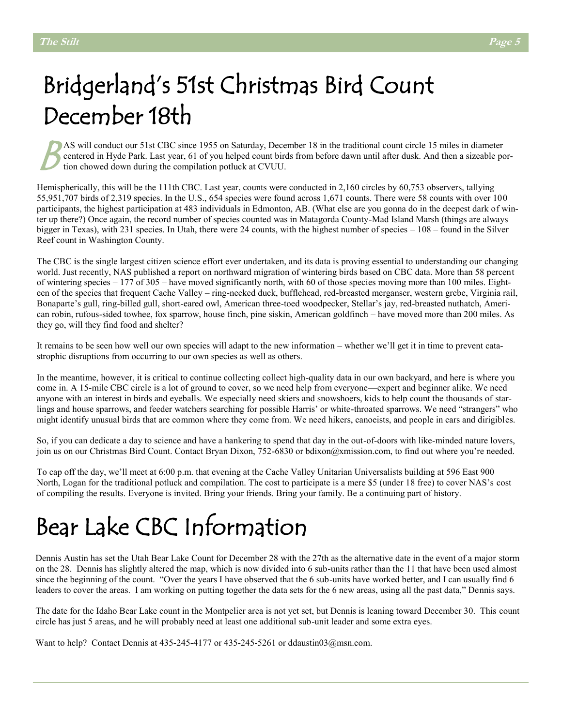# Bridgerland's 51st Christmas Bird Count December 18th

AS will conduct our 51st CBC since 1955 on Saturday, December 18 in the traditional count circle 15 miles in diameter centered in Hyde Park. Last year, 61 of you helped count birds from before dawn until after dusk. And th centered in Hyde Park. Last year, 61 of you helped count birds from before dawn until after dusk. And then a sizeable portion chowed down during the compilation potluck at CVUU.

Hemispherically, this will be the 111th CBC. Last year, counts were conducted in 2,160 circles by 60,753 observers, tallying 55,951,707 birds of 2,319 species. In the U.S., 654 species were found across 1,671 counts. There were 58 counts with over 100 participants, the highest participation at 483 individuals in Edmonton, AB. (What else are you gonna do in the deepest dark of winter up there?) Once again, the record number of species counted was in Matagorda County-Mad Island Marsh (things are always bigger in Texas), with 231 species. In Utah, there were 24 counts, with the highest number of species – 108 – found in the Silver Reef count in Washington County.

The CBC is the single largest citizen science effort ever undertaken, and its data is proving essential to understanding our changing world. Just recently, NAS published a report on northward migration of wintering birds based on CBC data. More than 58 percent of wintering species – 177 of 305 – have moved significantly north, with 60 of those species moving more than 100 miles. Eighteen of the species that frequent Cache Valley – ring-necked duck, bufflehead, red-breasted merganser, western grebe, Virginia rail, Bonaparte's gull, ring-billed gull, short-eared owl, American three-toed woodpecker, Stellar's jay, red-breasted nuthatch, American robin, rufous-sided towhee, fox sparrow, house finch, pine siskin, American goldfinch – have moved more than 200 miles. As they go, will they find food and shelter?

It remains to be seen how well our own species will adapt to the new information – whether we'll get it in time to prevent catastrophic disruptions from occurring to our own species as well as others.

In the meantime, however, it is critical to continue collecting collect high-quality data in our own backyard, and here is where you come in. A 15-mile CBC circle is a lot of ground to cover, so we need help from everyone—expert and beginner alike. We need anyone with an interest in birds and eyeballs. We especially need skiers and snowshoers, kids to help count the thousands of starlings and house sparrows, and feeder watchers searching for possible Harris' or white-throated sparrows. We need "strangers" who might identify unusual birds that are common where they come from. We need hikers, canoeists, and people in cars and dirigibles.

So, if you can dedicate a day to science and have a hankering to spend that day in the out-of-doors with like-minded nature lovers, join us on our Christmas Bird Count. Contact Bryan Dixon, 752-6830 or bdixon@xmission.com, to find out where you're needed.

To cap off the day, we'll meet at 6:00 p.m. that evening at the Cache Valley Unitarian Universalists building at 596 East 900 North, Logan for the traditional potluck and compilation. The cost to participate is a mere \$5 (under 18 free) to cover NAS's cost of compiling the results. Everyone is invited. Bring your friends. Bring your family. Be a continuing part of history.

# Bear Lake CBC Information

Dennis Austin has set the Utah Bear Lake Count for December 28 with the 27th as the alternative date in the event of a major storm on the 28. Dennis has slightly altered the map, which is now divided into 6 sub-units rather than the 11 that have been used almost since the beginning of the count. "Over the years I have observed that the 6 sub-units have worked better, and I can usually find 6 leaders to cover the areas. I am working on putting together the data sets for the 6 new areas, using all the past data," Dennis says.

The date for the Idaho Bear Lake count in the Montpelier area is not yet set, but Dennis is leaning toward December 30. This count circle has just 5 areas, and he will probably need at least one additional sub-unit leader and some extra eyes.

Want to help? Contact Dennis at  $435-245-4177$  or  $435-245-5261$  or ddaustin03@msn.com.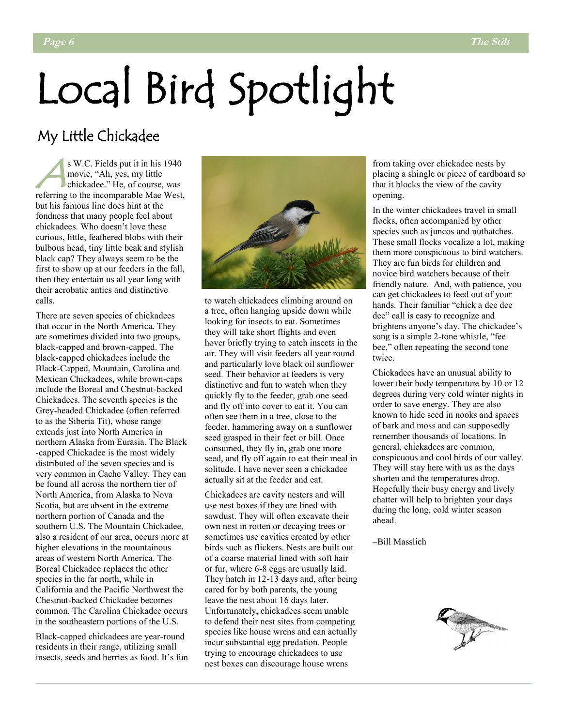# Local Bird Spotlight

#### My Little Chickadee

 $A \nvert R$ s W.C. Fields put it in his 1940 movie, "Ah, yes, my little chickadee." He, of course, was referring to the incomparable Mae West, but his famous line does hint at the fondness that many people feel about chickadees. Who doesn't love these curious, little, feathered blobs with their bulbous head, tiny little beak and stylish black cap? They always seem to be the first to show up at our feeders in the fall, then they entertain us all year long with their acrobatic antics and distinctive calls.

There are seven species of chickadees that occur in the North America. They are sometimes divided into two groups, black-capped and brown-capped. The black-capped chickadees include the Black-Capped, Mountain, Carolina and Mexican Chickadees, while brown-caps include the Boreal and Chestnut-backed Chickadees. The seventh species is the Grey-headed Chickadee (often referred to as the Siberia Tit), whose range extends just into North America in northern Alaska from Eurasia. The Black -capped Chickadee is the most widely distributed of the seven species and is very common in Cache Valley. They can be found all across the northern tier of North America, from Alaska to Nova Scotia, but are absent in the extreme northern portion of Canada and the southern U.S. The Mountain Chickadee, also a resident of our area, occurs more at higher elevations in the mountainous areas of western North America. The Boreal Chickadee replaces the other species in the far north, while in California and the Pacific Northwest the Chestnut-backed Chickadee becomes common. The Carolina Chickadee occurs in the southeastern portions of the U.S.

Black-capped chickadees are year-round residents in their range, utilizing small insects, seeds and berries as food. It's fun



to watch chickadees climbing around on a tree, often hanging upside down while looking for insects to eat. Sometimes they will take short flights and even hover briefly trying to catch insects in the air. They will visit feeders all year round and particularly love black oil sunflower seed. Their behavior at feeders is very distinctive and fun to watch when they quickly fly to the feeder, grab one seed and fly off into cover to eat it. You can often see them in a tree, close to the feeder, hammering away on a sunflower seed grasped in their feet or bill. Once consumed, they fly in, grab one more seed, and fly off again to eat their meal in solitude. I have never seen a chickadee actually sit at the feeder and eat.

Chickadees are cavity nesters and will use nest boxes if they are lined with sawdust. They will often excavate their own nest in rotten or decaying trees or sometimes use cavities created by other birds such as flickers. Nests are built out of a coarse material lined with soft hair or fur, where 6-8 eggs are usually laid. They hatch in 12-13 days and, after being cared for by both parents, the young leave the nest about 16 days later. Unfortunately, chickadees seem unable to defend their nest sites from competing species like house wrens and can actually incur substantial egg predation. People trying to encourage chickadees to use nest boxes can discourage house wrens

from taking over chickadee nests by placing a shingle or piece of cardboard so that it blocks the view of the cavity opening.

In the winter chickadees travel in small flocks, often accompanied by other species such as juncos and nuthatches. These small flocks vocalize a lot, making them more conspicuous to bird watchers. They are fun birds for children and novice bird watchers because of their friendly nature. And, with patience, you can get chickadees to feed out of your hands. Their familiar "chick a dee dee dee" call is easy to recognize and brightens anyone's day. The chickadee's song is a simple 2-tone whistle, "fee bee," often repeating the second tone twice.

Chickadees have an unusual ability to lower their body temperature by 10 or 12 degrees during very cold winter nights in order to save energy. They are also known to hide seed in nooks and spaces of bark and moss and can supposedly remember thousands of locations. In general, chickadees are common, conspicuous and cool birds of our valley. They will stay here with us as the days shorten and the temperatures drop. Hopefully their busy energy and lively chatter will help to brighten your days during the long, cold winter season ahead.

–Bill Masslich

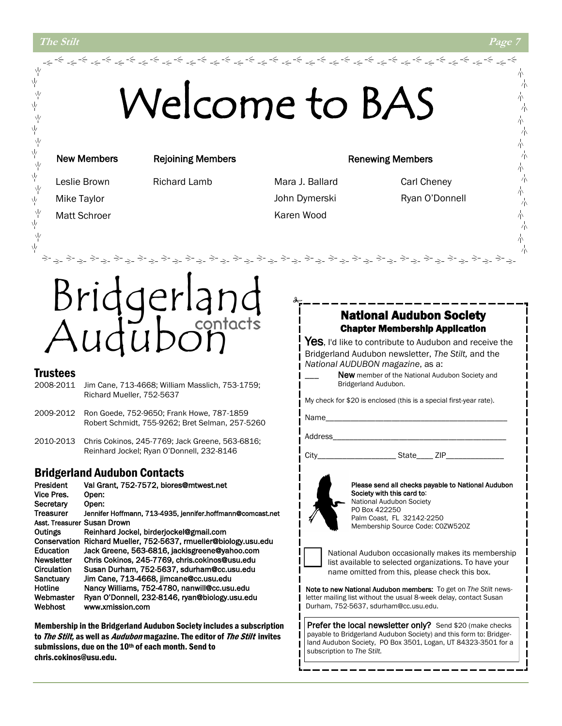#### **The Stilt Page 7**

ψ

、<br>平

在水 在水 在水 在水 在水

# Welcome to BAS

المحاشم المحاجر المحاجر المحاجر المحاجر المحاجر المحاجر المحاجر المحاجر المحاجر المحاجر المحاجر المحاجر المحاجر<br>المحاجر المحاجر المحاجر المحاجر المحاجر المحاجر المحاجر المحاجر المحاجر المحاجر المحاجر المحاجر المحاجر المحاج

#### New Members

Matt Schroer

Rejoining Members

Mike Taylor

Leslie Brown Richard Lamb

Mara J. Ballard Carl Cheney John Dymerski Ryan O'Donnell Karen Wood

Renewing Members

# contacts

#### **Trustees**

- 2008-2011 Jim Cane, 713-4668; William Masslich, 753-1759; Richard Mueller, 752-5637
- 2009-2012 Ron Goede, 752-9650; Frank Howe, 787-1859 Robert Schmidt, 755-9262; Bret Selman, 257-5260
- 2010-2013 Chris Cokinos, 245-7769; Jack Greene, 563-6816; Reinhard Jockel; Ryan O'Donnell, 232-8146

#### Bridgerland Audubon Contacts

| President                   | Val Grant, 752-7572, biores@mtwest.net                     |
|-----------------------------|------------------------------------------------------------|
| Vice Pres.                  | Open:                                                      |
| Secretary                   | Open:                                                      |
| <b>Treasurer</b>            | Jennifer Hoffmann, 713-4935, jennifer.hoffmann@comcast.net |
| Asst. Treasurer Susan Drown |                                                            |
| Outings                     | Reinhard Jockel, birderjockel@gmail.com                    |
| Conservation                | Richard Mueller, 752-5637, rmueller@biology.usu.edu        |
| Education                   | Jack Greene, 563-6816, jackisgreene@yahoo.com              |
| <b>Newsletter</b>           | Chris Cokinos, 245-7769, chris.cokinos@usu.edu             |
| Circulation                 | Susan Durham, 752-5637, sdurham@cc.usu.edu                 |
| Sanctuary                   | Jim Cane, 713-4668, iimcane@cc.usu.edu                     |
| Hotline                     | Nancy Williams, 752-4780, nanwill@cc.usu.edu               |
| Webmaster                   | Ryan O'Donnell, 232-8146, ryan@biology.usu.edu             |
| Webhost                     | www.xmission.com                                           |

Membership in the Bridgerland Audubon Society includes a subscription to The Stilt, as well as *Audubon* magazine. The editor of The Stilt invites submissions, due on the 10<sup>th</sup> of each month. Send to chris.cokinos@usu.edu.

#### National Audubon Society Chapter Membership Application

Yes, I'd like to contribute to Audubon and receive the Bridgerland Audubon newsletter, *The Stilt,* and the *National AUDUBON magazine*, as a:

> New member of the National Audubon Society and Bridgerland Audubon.

My check for \$20 is enclosed (this is a special first-year rate).

Name\_

Address

City\_\_\_\_\_\_\_\_\_\_\_\_\_\_\_\_\_\_\_ State\_\_\_\_ ZIP\_\_\_\_\_\_\_\_\_\_\_\_\_\_



Please send all checks payable to National Audubon Society with this card to: National Audubon Society PO Box 422250 Palm Coast, FL 32142-2250 Membership Source Code: C0ZW520Z



National Audubon occasionally makes its membership list available to selected organizations. To have your name omitted from this, please check this box.

Note to new National Audubon members: To get on *The Stilt* newsletter mailing list without the usual 8-week delay, contact Susan Durham, 752-5637, sdurham@cc.usu.edu.

Prefer the local newsletter only? Send \$20 (make checks payable to Bridgerland Audubon Society) and this form to: Bridgerland Audubon Society, PO Box 3501, Logan, UT 84323-3501 for a subscription to *The Stilt.*

朩

六 六 朩 六

朩 六 朩 六 小 六

六

六